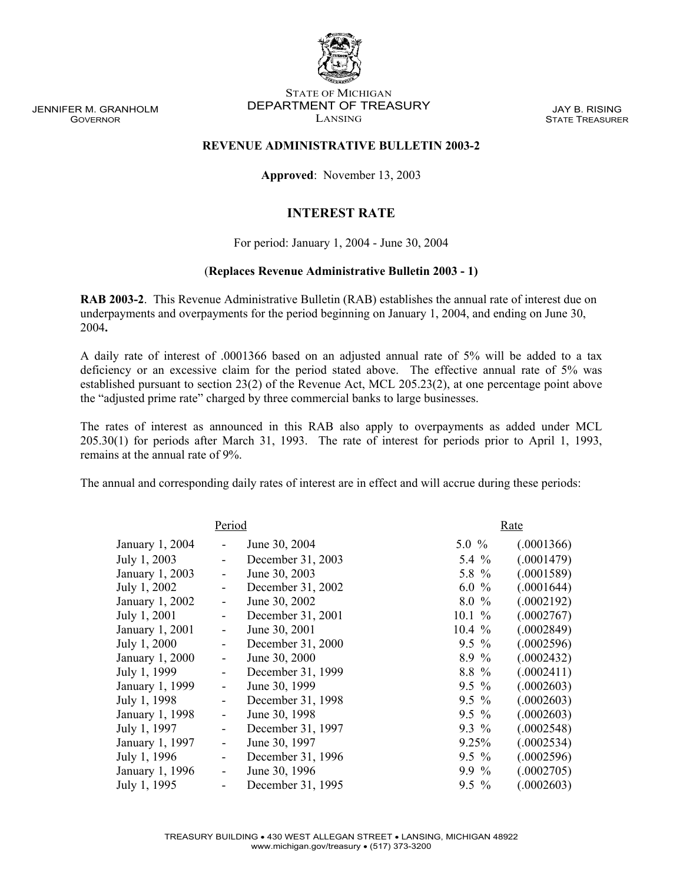JENNIFER M. GRANHOLM GOVERNOR

## STATE OF MICHIGAN DEPARTMENT OF TREASURY LANSING

JAY B. RISING STATE TREASURER

## **REVENUE ADMINISTRATIVE BULLETIN 2003-2**

**Approved**: November 13, 2003

## **INTEREST RATE**

For period: January 1, 2004 - June 30, 2004

## (**Replaces Revenue Administrative Bulletin 2003 - 1)**

**RAB 2003-2**.This Revenue Administrative Bulletin (RAB) establishes the annual rate of interest due on underpayments and overpayments for the period beginning on January 1, 2004, and ending on June 30, 2004**.**

A daily rate of interest of .0001366 based on an adjusted annual rate of 5% will be added to a tax deficiency or an excessive claim for the period stated above. The effective annual rate of 5% was established pursuant to section 23(2) of the Revenue Act, MCL 205.23(2), at one percentage point above the "adjusted prime rate" charged by three commercial banks to large businesses.

The rates of interest as announced in this RAB also apply to overpayments as added under MCL 205.30(1) for periods after March 31, 1993. The rate of interest for periods prior to April 1, 1993, remains at the annual rate of 9%.

The annual and corresponding daily rates of interest are in effect and will accrue during these periods:

| Period          |                          |                   |          | Rate       |  |
|-----------------|--------------------------|-------------------|----------|------------|--|
| January 1, 2004 |                          | June 30, 2004     | $5.0 \%$ | (.0001366) |  |
| July 1, 2003    |                          | December 31, 2003 | 5.4 $%$  | (.0001479) |  |
| January 1, 2003 | -                        | June 30, 2003     | 5.8 %    | (.0001589) |  |
| July 1, 2002    | -                        | December 31, 2002 | $6.0\%$  | (.0001644) |  |
| January 1, 2002 | $\overline{\phantom{0}}$ | June 30, 2002     | $8.0\%$  | (.0002192) |  |
| July 1, 2001    | ۰                        | December 31, 2001 | 10.1%    | (.0002767) |  |
| January 1, 2001 | $\overline{\phantom{0}}$ | June 30, 2001     | $10.4\%$ | (.0002849) |  |
| July 1, 2000    | ۰                        | December 31, 2000 | $9.5 \%$ | (.0002596) |  |
| January 1, 2000 | -                        | June 30, 2000     | 8.9%     | (.0002432) |  |
| July 1, 1999    | -                        | December 31, 1999 | 8.8 %    | (.0002411) |  |
| January 1, 1999 | -                        | June 30, 1999     | $9.5 \%$ | (.0002603) |  |
| July 1, 1998    | ۰                        | December 31, 1998 | $9.5\%$  | (.0002603) |  |
| January 1, 1998 | -                        | June 30, 1998     | $9.5 \%$ | (.0002603) |  |
| July 1, 1997    | -                        | December 31, 1997 | $9.3\%$  | (.0002548) |  |
| January 1, 1997 | -                        | June 30, 1997     | 9.25%    | (.0002534) |  |
| July 1, 1996    | $\overline{\phantom{0}}$ | December 31, 1996 | $9.5\%$  | (.0002596) |  |
| January 1, 1996 | $\overline{\phantom{0}}$ | June 30, 1996     | $9.9\%$  | (.0002705) |  |
| July 1, 1995    |                          | December 31, 1995 | $9.5\%$  | (.0002603) |  |